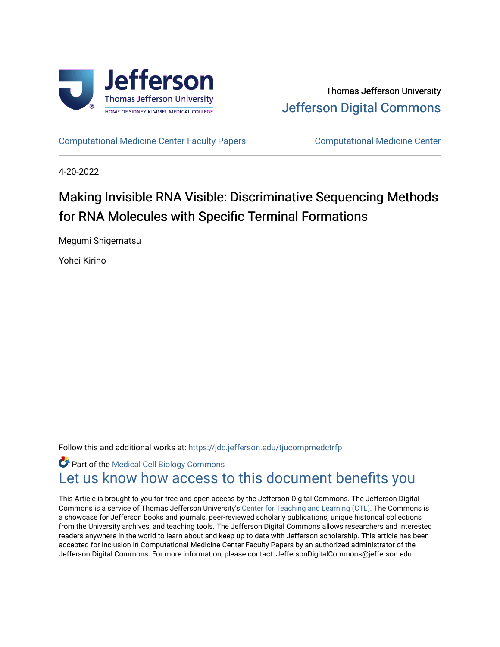



[Computational Medicine Center Faculty Papers](https://jdc.jefferson.edu/tjucompmedctrfp) [Computational Medicine Center](https://jdc.jefferson.edu/tjucompmedctr) 

4-20-2022

# Making Invisible RNA Visible: Discriminative Sequencing Methods for RNA Molecules with Specific Terminal Formations

Megumi Shigematsu

Yohei Kirino

Follow this and additional works at: [https://jdc.jefferson.edu/tjucompmedctrfp](https://jdc.jefferson.edu/tjucompmedctrfp?utm_source=jdc.jefferson.edu%2Ftjucompmedctrfp%2F41&utm_medium=PDF&utm_campaign=PDFCoverPages)

Part of the [Medical Cell Biology Commons](https://network.bepress.com/hgg/discipline/669?utm_source=jdc.jefferson.edu%2Ftjucompmedctrfp%2F41&utm_medium=PDF&utm_campaign=PDFCoverPages) Let us know how access to this document benefits you

This Article is brought to you for free and open access by the Jefferson Digital Commons. The Jefferson Digital Commons is a service of Thomas Jefferson University's [Center for Teaching and Learning \(CTL\)](http://www.jefferson.edu/university/teaching-learning.html/). The Commons is a showcase for Jefferson books and journals, peer-reviewed scholarly publications, unique historical collections from the University archives, and teaching tools. The Jefferson Digital Commons allows researchers and interested readers anywhere in the world to learn about and keep up to date with Jefferson scholarship. This article has been accepted for inclusion in Computational Medicine Center Faculty Papers by an authorized administrator of the Jefferson Digital Commons. For more information, please contact: JeffersonDigitalCommons@jefferson.edu.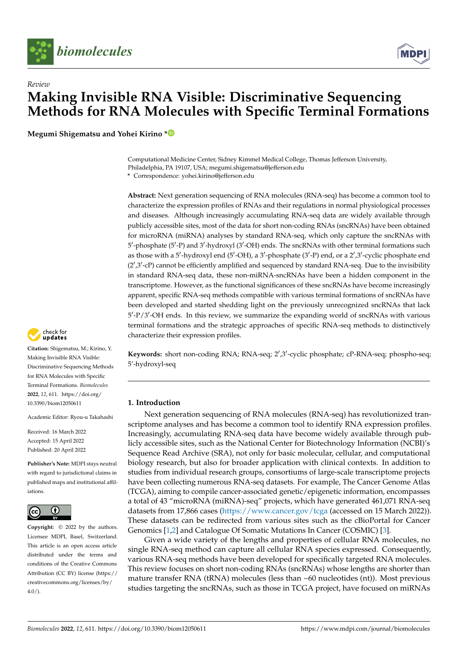



## *Review* **Making Invisible RNA Visible: Discriminative Sequencing Methods for RNA Molecules with Specific Terminal Formations**

**Megumi Shigematsu and Yohei Kirino [\\*](https://orcid.org/0000-0001-5232-4742)**

Computational Medicine Center, Sidney Kimmel Medical College, Thomas Jefferson University, Philadelphia, PA 19107, USA; megumi.shigematsu@jefferson.edu

**\*** Correspondence: yohei.kirino@jefferson.edu

**Abstract:** Next generation sequencing of RNA molecules (RNA-seq) has become a common tool to characterize the expression profiles of RNAs and their regulations in normal physiological processes and diseases. Although increasingly accumulating RNA-seq data are widely available through publicly accessible sites, most of the data for short non-coding RNAs (sncRNAs) have been obtained for microRNA (miRNA) analyses by standard RNA-seq, which only capture the sncRNAs with 5'-phosphate (5'-P) and 3'-hydroxyl (3'-OH) ends. The sncRNAs with other terminal formations such as those with a 5'-hydroxyl end (5'-OH), a 3'-phosphate (3'-P) end, or a 2',3'-cyclic phosphate end  $(2',3'-cP)$  cannot be efficiently amplified and sequenced by standard RNA-seq. Due to the invisibility in standard RNA-seq data, these non-miRNA-sncRNAs have been a hidden component in the transcriptome. However, as the functional significances of these sncRNAs have become increasingly apparent, specific RNA-seq methods compatible with various terminal formations of sncRNAs have been developed and started shedding light on the previously unrecognized sncRNAs that lack 5'-P/3'-OH ends. In this review, we summarize the expanding world of sncRNAs with various terminal formations and the strategic approaches of specific RNA-seq methods to distinctively characterize their expression profiles.

Keywords: short non-coding RNA; RNA-seq; 2',3'-cyclic phosphate; cP-RNA-seq; phospho-seq; 5'-hydroxyl-seq

## **1. Introduction**

Next generation sequencing of RNA molecules (RNA-seq) has revolutionized transcriptome analyses and has become a common tool to identify RNA expression profiles. Increasingly, accumulating RNA-seq data have become widely available through publicly accessible sites, such as the National Center for Biotechnology Information (NCBI)'s Sequence Read Archive (SRA), not only for basic molecular, cellular, and computational biology research, but also for broader application with clinical contexts. In addition to studies from individual research groups, consortiums of large-scale transcriptome projects have been collecting numerous RNA-seq datasets. For example, The Cancer Genome Atlas (TCGA), aiming to compile cancer-associated genetic/epigenetic information, encompasses a total of 43 "microRNA (miRNA)-seq" projects, which have generated 461,071 RNA-seq datasets from 17,866 cases [\(https://www.cancer.gov/tcga](https://www.cancer.gov/tcga) (accessed on 15 March 2022)). These datasets can be redirected from various sites such as the cBioPortal for Cancer Genomics [\[1,](#page-8-0)[2\]](#page-8-1) and Catalogue Of Somatic Mutations In Cancer (COSMIC) [\[3\]](#page-8-2).

Given a wide variety of the lengths and properties of cellular RNA molecules, no single RNA-seq method can capture all cellular RNA species expressed. Consequently, various RNA-seq methods have been developed for specifically targeted RNA molecules. This review focuses on short non-coding RNAs (sncRNAs) whose lengths are shorter than mature transfer RNA (tRNA) molecules (less than  $~60$  nucleotides (nt)). Most previous studies targeting the sncRNAs, such as those in TCGA project, have focused on miRNAs



**Citation:** Shigematsu, M.; Kirino, Y. Making Invisible RNA Visible: Discriminative Sequencing Methods for RNA Molecules with Specific Terminal Formations. *Biomolecules* **2022**, *12*, 611. [https://doi.org/](https://doi.org/10.3390/biom12050611) [10.3390/biom12050611](https://doi.org/10.3390/biom12050611)

Academic Editor: Ryou-u Takahashi

Received: 16 March 2022 Accepted: 15 April 2022 Published: 20 April 2022

**Publisher's Note:** MDPI stays neutral with regard to jurisdictional claims in published maps and institutional affiliations.



**Copyright:** © 2022 by the authors. Licensee MDPI, Basel, Switzerland. This article is an open access article distributed under the terms and conditions of the Creative Commons Attribution (CC BY) license [\(https://](https://creativecommons.org/licenses/by/4.0/) [creativecommons.org/licenses/by/](https://creativecommons.org/licenses/by/4.0/)  $4.0/$ ).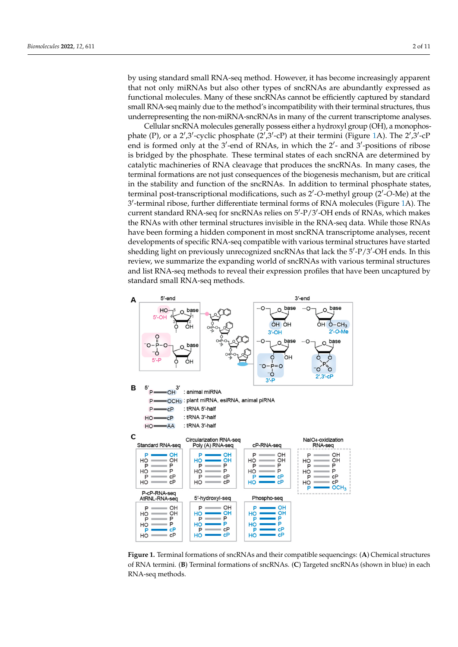by using standard small RNA-seq method. However, it has become increasingly apparent that not only miRNAs but also other types of sncRNAs are abundantly expressed as functional molecules. Many of these sncRNAs cannot be efficiently captured by standard small RNA-seq mainly due to the method's incompatibility with their terminal structures, thus non-miral representing the non-miRNA-sncRNAs in many of the current transcriptome analyses. tional molecules. Many of these sncRNAs cannot be efficiently captured by standard small by using standard small KIVA-seq method. However, it has become increasingly apparent

cellular sncRNA molecules generally possess either a hydroxyl group (OH), a monophos-<br>Cellular sncRNA molecules generally possess either a hydroxyl group (OH), a monophosphate (P), or a 2',3'-cyclic phosphate  $(2',3'-cP)$  at their termini (Figure [1A](#page-2-0)). The 2',3'-cP end is formed only at the  $3'$ -end of RNAs, in which the  $2'$ - and  $3'$ -positions of ribose is bridged by the phosphate. These terminal states of each sncRNA are determined by catalytic machineries of RNA cleavage that produces the sncRNAs. In many cases, the terminal formations are not just consequences of the biogenesis mechanism, but are critical in the stability and function of the sncRNAs. In addition to terminal phosphate states, terminal post-transcriptional modifications, such as 2'-O-methyl group (2'-O-Me) at the 3'-terminal ribose, further differentiate terminal forms of RNA molecules (Figure 1A). The current standard RNA-seq for sncRNAs relies on 5'-P/3'-OH ends of RNAs, which makes the RNAs with other terminal structures invisible in the RNA-seq data. While those RNAs have been forming a hidden component in most sncRNA transcriptome analyses, recent developments of specific RNA-seq compatible with various terminal structures have started developments of specific RNA-seq compatible with various terminal structures have developments of speeme KIVI seq companiole what various terminal structures have started shedding light on previously unrecognized sncRNAs that lack the 5'-P/3'-OH ends. In this review, we summarize the expanding world of sncRNAs with various terminal structures and list RNA-seq methods to reveal their expression profiles that have been uncaptured by standard small RNA-seq methods.

<span id="page-2-0"></span>

**Figure 1.** Terminal formations of sncRNAs and their compatible sequencings: (A) Chemical structures of RNA termini. (**B**) Terminal formations of sncRNAs. (**C**) Targeted sncRNAs (shown in blue) in each RNA-seq methods.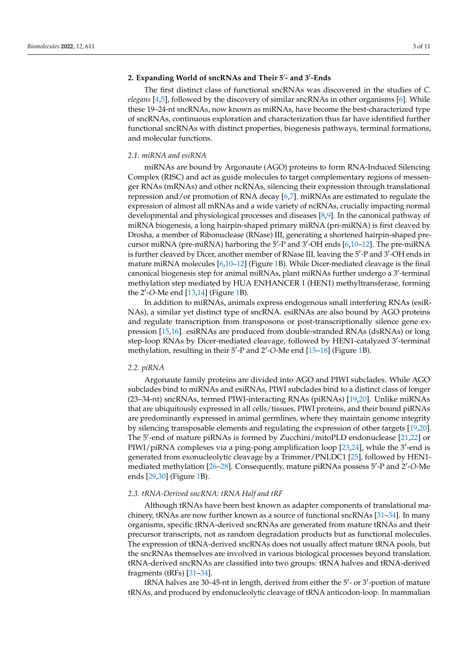## 2. Expanding World of sncRNAs and Their 5'- and 3'-Ends

The first distinct class of functional sncRNAs was discovered in the studies of *C. elegans* [\[4](#page-8-3)[,5\]](#page-8-4), followed by the discovery of similar sncRNAs in other organisms [\[6\]](#page-8-5). While these 19–24-nt sncRNAs, now known as miRNAs, have become the best-characterized type of sncRNAs, continuous exploration and characterization thus far have identified further functional sncRNAs with distinct properties, biogenesis pathways, terminal formations, and molecular functions.

#### *2.1. miRNA and esiRNA*

miRNAs are bound by Argonaute (AGO) proteins to form RNA-Induced Silencing Complex (RISC) and act as guide molecules to target complementary regions of messenger RNAs (mRNAs) and other ncRNAs, silencing their expression through translational repression and/or promotion of RNA decay [\[6](#page-8-5)[,7\]](#page-8-6). miRNAs are estimated to regulate the expression of almost all mRNAs and a wide variety of ncRNAs, crucially impacting normal developmental and physiological processes and diseases [\[8,](#page-8-7)[9\]](#page-8-8). In the canonical pathway of miRNA biogenesis, a long hairpin-shaped primary miRNA (pri-miRNA) is first cleaved by Drosha, a member of Ribonuclease (RNase) III, generating a shortened hairpin-shaped pre-cursor miRNA (pre-miRNA) harboring the 5'-P and 3'-OH ends [\[6](#page-8-5),10-[12\]](#page-8-10). The pre-miRNA is further cleaved by Dicer, another member of RNase III, leaving the 5'-P and 3'-OH ends in mature miRNA molecules [\[6](#page-8-5)[,10–](#page-8-9)[12\]](#page-8-10) (Figure [1B](#page-2-0)). While Dicer-mediated cleavage is the final canonical biogenesis step for animal miRNAs, plant miRNAs further undergo a 3'-terminal methylation step mediated by HUA ENHANCER 1 (HEN1) methyltransferase, forming the 2<sup>'</sup>-O-Me end [\[13,](#page-8-11)[14\]](#page-8-12) (Figure [1B](#page-2-0)).

In addition to miRNAs, animals express endogenous small interfering RNAs (esiR-NAs), a similar yet distinct type of sncRNA. esiRNAs are also bound by AGO proteins and regulate transcription from transposons or post-transcriptionally silence gene expression [\[15,](#page-8-13)[16\]](#page-8-14). esiRNAs are produced from double-stranded RNAs (dsRNAs) or long step-loop RNAs by Dicer-mediated cleavage, followed by HEN1-catalyzed 3'-terminal methylation, resulting in their 5'-P and 2'-O-Me end [\[15](#page-8-13)-18] (Figure [1B](#page-2-0)).

#### *2.2. piRNA*

Argonaute family proteins are divided into AGO and PIWI subclades. While AGO subclades bind to miRNAs and esiRNAs, PIWI subclades bind to a distinct class of longer (23–34-nt) sncRNAs, termed PIWI-interacting RNAs (piRNAs) [\[19,](#page-8-16)[20\]](#page-9-0). Unlike miRNAs that are ubiquitously expressed in all cells/tissues, PIWI proteins, and their bound piRNAs are predominantly expressed in animal germlines, where they maintain genome integrity by silencing transposable elements and regulating the expression of other targets [\[19,](#page-8-16)[20\]](#page-9-0). The 5'-end of mature piRNAs is formed by Zucchini/mitoPLD endonuclease [\[21,](#page-9-1)[22\]](#page-9-2) or PIWI/piRNA complexes via a ping-pong amplification loop [\[23](#page-9-3)[,24\]](#page-9-4), while the 3'-end is generated from exonucleolytic cleavage by a Trimmer/PNLDC1 [\[25\]](#page-9-5), followed by HEN1- mediated methylation [26-[28\]](#page-9-7). Consequently, mature piRNAs possess 5'-P and 2'-O-Me ends [\[29,](#page-9-8)[30\]](#page-9-9) (Figure [1B](#page-2-0)).

## *2.3. tRNA-Derived sncRNA: tRNA Half and tRF*

Although tRNAs have been best known as adapter components of translational machinery, tRNAs are now further known as a source of functional sncRNAs [\[31–](#page-9-10)[34\]](#page-9-11). In many organisms, specific tRNA-derived sncRNAs are generated from mature tRNAs and their precursor transcripts, not as random degradation products but as functional molecules. The expression of tRNA-derived sncRNAs does not usually affect mature tRNA pools, but the sncRNAs themselves are involved in various biological processes beyond translation. tRNA-derived sncRNAs are classified into two groups: tRNA halves and tRNA-derived fragments (tRFs) [\[31–](#page-9-10)[34\]](#page-9-11).

tRNA halves are 30-45-nt in length, derived from either the 5'- or 3'-portion of mature tRNAs, and produced by endonucleolytic cleavage of tRNA anticodon-loop. In mammalian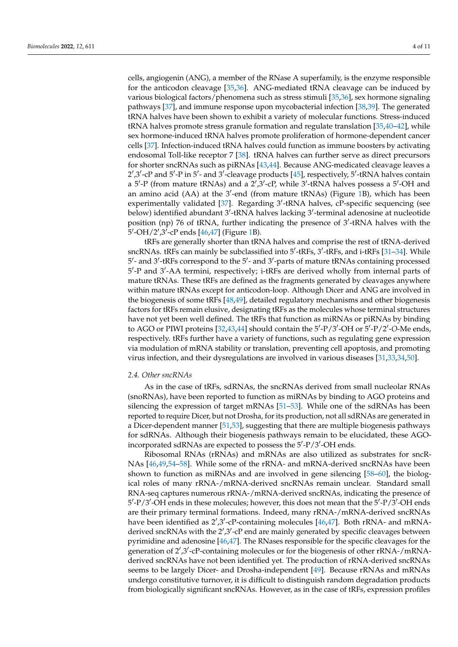cells, angiogenin (ANG), a member of the RNase A superfamily, is the enzyme responsible for the anticodon cleavage [\[35,](#page-9-12)[36\]](#page-9-13). ANG-mediated tRNA cleavage can be induced by various biological factors/phenomena such as stress stimuli [\[35](#page-9-12)[,36\]](#page-9-13), sex hormone signaling pathways [\[37\]](#page-9-14), and immune response upon mycobacterial infection [\[38](#page-9-15)[,39\]](#page-9-16). The generated tRNA halves have been shown to exhibit a variety of molecular functions. Stress-induced tRNA halves promote stress granule formation and regulate translation [\[35,](#page-9-12)[40](#page-9-17)[–42\]](#page-9-18), while sex hormone-induced tRNA halves promote proliferation of hormone-dependent cancer cells [\[37\]](#page-9-14). Infection-induced tRNA halves could function as immune boosters by activating endosomal Toll-like receptor 7 [\[38\]](#page-9-15). tRNA halves can further serve as direct precursors for shorter sncRNAs such as piRNAs [\[43](#page-9-19)[,44\]](#page-9-20). Because ANG-medicated cleavage leaves a 2',3'-cP and 5'-P in 5'- and 3'-cleavage products [\[45\]](#page-9-21), respectively, 5'-tRNA halves contain a 5'-P (from mature tRNAs) and a  $2^{\prime}$ ,  $3^{\prime}$ -cP, while  $3^{\prime}$ -tRNA halves possess a 5'-OH and an amino acid (AA) at the  $3'$ -end (from mature tRNAs) (Figure [1B](#page-2-0)), which has been experimentally validated [\[37\]](#page-9-14). Regarding 3'-tRNA halves, cP-specific sequencing (see below) identified abundant 3'-tRNA halves lacking 3'-terminal adenosine at nucleotide position (np) 76 of tRNA, further indicating the presence of 3'-tRNA halves with the  $5'$ -OH/2',3<sup>7</sup>-cP ends [\[46](#page-9-22)[,47\]](#page-9-23) (Figure [1B](#page-2-0)).

tRFs are generally shorter than tRNA halves and comprise the rest of tRNA-derived sncRNAs. tRFs can mainly be subclassified into 5'-tRFs, 3'-tRFs, and i-tRFs [\[31](#page-9-10)[–34\]](#page-9-11). While 5'- and 3'-tRFs correspond to the 5'- and 3'-parts of mature tRNAs containing processed 5'-P and 3'-AA termini, respectively; i-tRFs are derived wholly from internal parts of mature tRNAs. These tRFs are defined as the fragments generated by cleavages anywhere within mature tRNAs except for anticodon-loop. Although Dicer and ANG are involved in the biogenesis of some tRFs [\[48,](#page-9-24)[49\]](#page-10-0), detailed regulatory mechanisms and other biogenesis factors for tRFs remain elusive, designating tRFs as the molecules whose terminal structures have not yet been well defined. The tRFs that function as miRNAs or piRNAs by binding to AGO or PIWI proteins [\[32,](#page-9-25)[43,](#page-9-19)[44\]](#page-9-20) should contain the 5'-P/3'-OH or 5'-P/2'-O-Me ends, respectively. tRFs further have a variety of functions, such as regulating gene expression via modulation of mRNA stability or translation, preventing cell apoptosis, and promoting virus infection, and their dysregulations are involved in various diseases [\[31,](#page-9-10)[33,](#page-9-26)[34](#page-9-11)[,50\]](#page-10-1).

#### *2.4. Other sncRNAs*

As in the case of tRFs, sdRNAs, the sncRNAs derived from small nucleolar RNAs (snoRNAs), have been reported to function as miRNAs by binding to AGO proteins and silencing the expression of target mRNAs [\[51–](#page-10-2)[53\]](#page-10-3). While one of the sdRNAs has been reported to require Dicer, but not Drosha, for its production, not all sdRNAs are generated in a Dicer-dependent manner [\[51](#page-10-2)[,53\]](#page-10-3), suggesting that there are multiple biogenesis pathways for sdRNAs. Although their biogenesis pathways remain to be elucidated, these AGOincorporated sdRNAs are expected to possess the 5'-P/3'-OH ends.

Ribosomal RNAs (rRNAs) and mRNAs are also utilized as substrates for sncR-NAs [\[46,](#page-9-22)[49,](#page-10-0)[54–](#page-10-4)[58\]](#page-10-5). While some of the rRNA- and mRNA-derived sncRNAs have been shown to function as miRNAs and are involved in gene silencing [\[58–](#page-10-5)[60\]](#page-10-6), the biological roles of many rRNA-/mRNA-derived sncRNAs remain unclear. Standard small RNA-seq captures numerous rRNA-/mRNA-derived sncRNAs, indicating the presence of 5'-P/3'-OH ends in these molecules; however, this does not mean that the 5'-P/3'-OH ends are their primary terminal formations. Indeed, many rRNA-/mRNA-derived sncRNAs have been identified as 2',3'-cP-containing molecules [\[46](#page-9-22)[,47\]](#page-9-23). Both rRNA- and mRNAderived sncRNAs with the 2',3'-cP end are mainly generated by specific cleavages between pyrimidine and adenosine [\[46](#page-9-22)[,47\]](#page-9-23). The RNases responsible for the specific cleavages for the generation of 2',3'-cP-containing molecules or for the biogenesis of other rRNA-/mRNAderived sncRNAs have not been identified yet. The production of rRNA-derived sncRNAs seems to be largely Dicer- and Drosha-independent [\[49\]](#page-10-0). Because rRNAs and mRNAs undergo constitutive turnover, it is difficult to distinguish random degradation products from biologically significant sncRNAs. However, as in the case of tRFs, expression profiles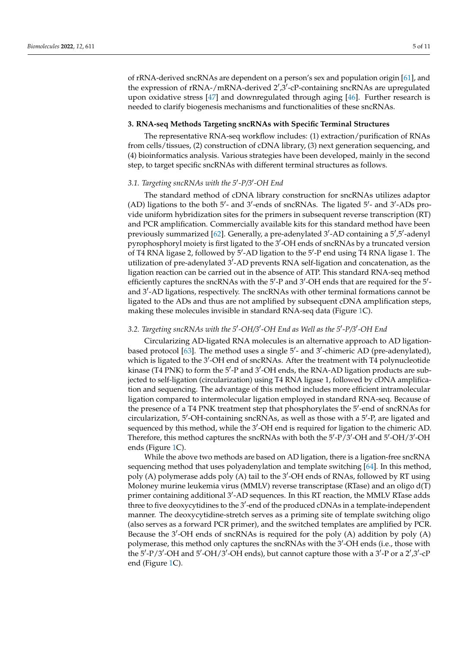of rRNA-derived sncRNAs are dependent on a person's sex and population origin [\[61\]](#page-10-7), and the expression of  $rRNA$ -/mRNA-derived  $2^{\prime}$ , $3^{\prime}$ -cP-containing sncRNAs are upregulated upon oxidative stress [\[47\]](#page-9-23) and downregulated through aging [\[46\]](#page-9-22). Further research is needed to clarify biogenesis mechanisms and functionalities of these sncRNAs.

#### **3. RNA-seq Methods Targeting sncRNAs with Specific Terminal Structures**

The representative RNA-seq workflow includes: (1) extraction/purification of RNAs from cells/tissues, (2) construction of cDNA library, (3) next generation sequencing, and (4) bioinformatics analysis. Various strategies have been developed, mainly in the second step, to target specific sncRNAs with different terminal structures as follows.

## 3.1. Targeting sncRNAs with the 5'-P/3'-OH End

The standard method of cDNA library construction for sncRNAs utilizes adaptor (AD) ligations to the both 5'- and 3'-ends of sncRNAs. The ligated 5'- and 3'-ADs provide uniform hybridization sites for the primers in subsequent reverse transcription (RT) and PCR amplification. Commercially available kits for this standard method have been previously summarized [\[62\]](#page-10-8). Generally, a pre-adenylated 3'-AD containing a 5',5'-adenyl pyrophosphoryl moiety is first ligated to the 3'-OH ends of sncRNAs by a truncated version of T4 RNA ligase 2, followed by 5'-AD ligation to the 5'-P end using T4 RNA ligase 1. The utilization of pre-adenylated 3'-AD prevents RNA self-ligation and concatenation, as the ligation reaction can be carried out in the absence of ATP. This standard RNA-seq method efficiently captures the sncRNAs with the 5'-P and 3'-OH ends that are required for the 5'and 3'-AD ligations, respectively. The sncRNAs with other terminal formations cannot be ligated to the ADs and thus are not amplified by subsequent cDNA amplification steps, making these molecules invisible in standard RNA-seq data (Figure [1C](#page-2-0)).

## 3.2. Targeting sncRNAs with the 5'-OH/3'-OH End as Well as the 5'-P/3'-OH End

Circularizing AD-ligated RNA molecules is an alternative approach to AD ligation-based protocol [\[63\]](#page-10-9). The method uses a single 5'- and 3'-chimeric AD (pre-adenylated), which is ligated to the 3'-OH end of sncRNAs. After the treatment with T4 polynucleotide kinase (T4 PNK) to form the 5'-P and 3'-OH ends, the RNA-AD ligation products are subjected to self-ligation (circularization) using T4 RNA ligase 1, followed by cDNA amplification and sequencing. The advantage of this method includes more efficient intramolecular ligation compared to intermolecular ligation employed in standard RNA-seq. Because of the presence of a T4 PNK treatment step that phosphorylates the 5'-end of sncRNAs for circularization, 5'-OH-containing sncRNAs, as well as those with a 5'-P, are ligated and sequenced by this method, while the 3'-OH end is required for ligation to the chimeric AD. Therefore, this method captures the sncRNAs with both the 5'-P/3'-OH and 5'-OH/3'-OH ends (Figure [1C](#page-2-0)).

While the above two methods are based on AD ligation, there is a ligation-free sncRNA sequencing method that uses polyadenylation and template switching [\[64\]](#page-10-10). In this method, poly (A) polymerase adds poly (A) tail to the 3'-OH ends of RNAs, followed by RT using Moloney murine leukemia virus (MMLV) reverse transcriptase (RTase) and an oligo d(T) primer containing additional 3'-AD sequences. In this RT reaction, the MMLV RTase adds three to five deoxycytidines to the 3'-end of the produced cDNAs in a template-independent manner. The deoxycytidine-stretch serves as a priming site of template switching oligo (also serves as a forward PCR primer), and the switched templates are amplified by PCR. Because the 3'-OH ends of sncRNAs is required for the poly (A) addition by poly (A) polymerase, this method only captures the sncRNAs with the 3'-OH ends (i.e., those with the 5'-P/3'-OH and 5'-OH/3'-OH ends), but cannot capture those with a 3'-P or a 2',3'-cP end (Figure [1C](#page-2-0)).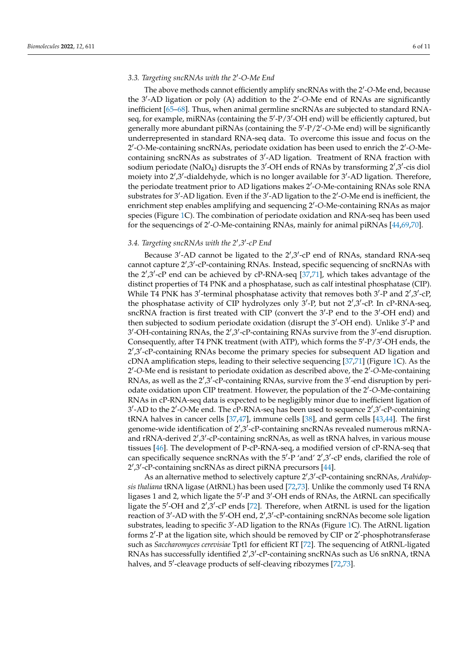## 3.3. Targeting sncRNAs with the 2'-O-Me End

The above methods cannot efficiently amplify sncRNAs with the 2'-O-Me end, because the 3'-AD ligation or poly (A) addition to the 2'-O-Me end of RNAs are significantly inefficient [\[65–](#page-10-11)[68\]](#page-10-12). Thus, when animal germline sncRNAs are subjected to standard RNAseq, for example, miRNAs (containing the 5'-P/3'-OH end) will be efficiently captured, but generally more abundant piRNAs (containing the 5'-P/2'-O-Me end) will be significantly underrepresented in standard RNA-seq data. To overcome this issue and focus on the 2'-O-Me-containing sncRNAs, periodate oxidation has been used to enrich the 2'-O-Mecontaining sncRNAs as substrates of 3'-AD ligation. Treatment of RNA fraction with sodium periodate (NaIO<sub>4</sub>) disrupts the 3'-OH ends of RNAs by transforming 2',3'-cis diol moiety into 2',3'-dialdehyde, which is no longer available for 3'-AD ligation. Therefore, the periodate treatment prior to AD ligations makes 2'-O-Me-containing RNAs sole RNA substrates for 3'-AD ligation. Even if the 3'-AD ligation to the 2'-O-Me end is inefficient, the enrichment step enables amplifying and sequencing 2'-O-Me-containing RNAs as major species (Figure [1C](#page-2-0)). The combination of periodate oxidation and RNA-seq has been used for the sequencings of 2'-O-Me-containing RNAs, mainly for animal piRNAs [\[44,](#page-9-20)[69,](#page-10-13)[70\]](#page-10-14).

## 3.4. Targeting sncRNAs with the 2',3'-cP End

Because 3'-AD cannot be ligated to the 2',3'-cP end of RNAs, standard RNA-seq cannot capture 2',3'-cP-containing RNAs. Instead, specific sequencing of sncRNAs with the  $2^{\prime},3^{\prime}$ -cP end can be achieved by cP-RNA-seq [\[37](#page-9-14)[,71\]](#page-10-15), which takes advantage of the distinct properties of T4 PNK and a phosphatase, such as calf intestinal phosphatase (CIP). While T4 PNK has  $3'$ -terminal phosphatase activity that removes both  $3'$ -P and  $2',3'$ -cP, the phosphatase activity of CIP hydrolyzes only 3'-P, but not 2',3'-cP. In cP-RNA-seq, sncRNA fraction is first treated with CIP (convert the 3'-P end to the 3'-OH end) and then subjected to sodium periodate oxidation (disrupt the 3'-OH end). Unlike 3'-P and 3'-OH-containing RNAs, the 2',3'-cP-containing RNAs survive from the 3'-end disruption. Consequently, after T4 PNK treatment (with ATP), which forms the 5'-P/3'-OH ends, the 2',3'-cP-containing RNAs become the primary species for subsequent AD ligation and cDNA amplification steps, leading to their selective sequencing [\[37,](#page-9-14)[71\]](#page-10-15) (Figure [1C](#page-2-0)). As the 2'-O-Me end is resistant to periodate oxidation as described above, the 2'-O-Me-containing RNAs, as well as the 2',3'-cP-containing RNAs, survive from the 3'-end disruption by periodate oxidation upon CIP treatment. However, the population of the 2'-O-Me-containing RNAs in cP-RNA-seq data is expected to be negligibly minor due to inefficient ligation of 3'-AD to the 2'-O-Me end. The cP-RNA-seq has been used to sequence 2',3'-cP-containing tRNA halves in cancer cells [\[37](#page-9-14)[,47\]](#page-9-23), immune cells [\[38\]](#page-9-15), and germ cells [\[43,](#page-9-19)[44\]](#page-9-20). The first genome-wide identification of 2',3'-cP-containing sncRNAs revealed numerous mRNAand rRNA-derived 2',3'-cP-containing sncRNAs, as well as tRNA halves, in various mouse tissues [\[46\]](#page-9-22). The development of P-cP-RNA-seq, a modified version of cP-RNA-seq that can specifically sequence sncRNAs with the 5'-P 'and' 2',3'-cP ends, clarified the role of 2',3'-cP-containing sncRNAs as direct piRNA precursors [\[44\]](#page-9-20).

As an alternative method to selectively capture 2',3'-cP-containing sncRNAs, Arabidop*sis thaliana* tRNA ligase (AtRNL) has been used [\[72](#page-10-16)[,73\]](#page-10-17). Unlike the commonly used T4 RNA ligases 1 and 2, which ligate the 5'-P and 3'-OH ends of RNAs, the AtRNL can specifically ligate the 5'-OH and 2',3'-cP ends [\[72\]](#page-10-16). Therefore, when AtRNL is used for the ligation reaction of 3'-AD with the 5'-OH end, 2', 3'-cP-containing sncRNAs become sole ligation substrates, leading to specific 3'-AD ligation to the RNAs (Figure [1C](#page-2-0)). The AtRNL ligation forms 2'-P at the ligation site, which should be removed by CIP or 2'-phosphotransferase such as *Saccharomyces cerevisiae* Tpt1 for efficient RT [\[72\]](#page-10-16). The sequencing of AtRNL-ligated RNAs has successfully identified 2',3'-cP-containing sncRNAs such as U6 snRNA, tRNA halves, and 5'-cleavage products of self-cleaving ribozymes [\[72](#page-10-16)[,73\]](#page-10-17).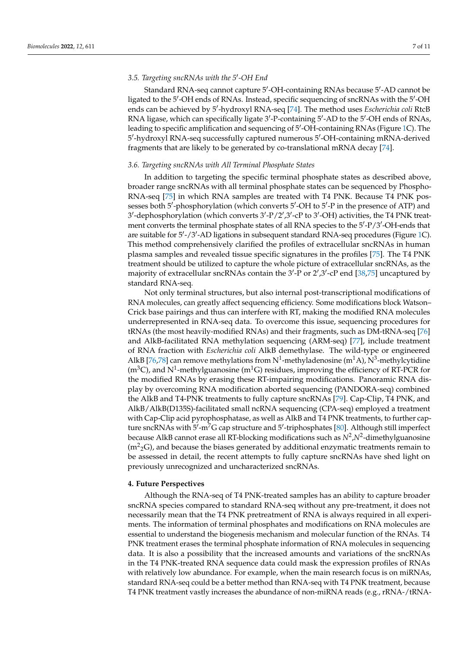## 3.5. Targeting sncRNAs with the 5'-OH End

Standard RNA-seq cannot capture 5'-OH-containing RNAs because 5'-AD cannot be ligated to the 5'-OH ends of RNAs. Instead, specific sequencing of sncRNAs with the 5'-OH ends can be achieved by 5'-hydroxyl RNA-seq [\[74\]](#page-10-18). The method uses *Escherichia coli* RtcB RNA ligase, which can specifically ligate 3'-P-containing 5'-AD to the 5'-OH ends of RNAs, leading to specific amplification and sequencing of 5'-OH-containing RNAs (Figure [1C](#page-2-0)). The 5'-hydroxyl RNA-seq successfully captured numerous 5'-OH-containing mRNA-derived fragments that are likely to be generated by co-translational mRNA decay [\[74\]](#page-10-18).

#### *3.6. Targeting sncRNAs with All Terminal Phosphate States*

In addition to targeting the specific terminal phosphate states as described above, broader range sncRNAs with all terminal phosphate states can be sequenced by Phospho-RNA-seq [\[75\]](#page-10-19) in which RNA samples are treated with T4 PNK. Because T4 PNK possesses both 5'-phosphorylation (which converts 5'-OH to 5'-P in the presence of ATP) and 3'-dephosphorylation (which converts 3'-P/2',3'-cP to 3'-OH) activities, the T4 PNK treatment converts the terminal phosphate states of all RNA species to the 5'-P/3'-OH-ends that are suitable for 5'-/3'-AD ligations in subsequent standard RNA-seq procedures (Figure [1C](#page-2-0)). This method comprehensively clarified the profiles of extracellular sncRNAs in human plasma samples and revealed tissue specific signatures in the profiles [\[75\]](#page-10-19). The T4 PNK treatment should be utilized to capture the whole picture of extracellular sncRNAs, as the majority of extracellular sncRNAs contain the 3'-P or 2',3'-cP end [\[38,](#page-9-15)[75\]](#page-10-19) uncaptured by standard RNA-seq.

Not only terminal structures, but also internal post-transcriptional modifications of RNA molecules, can greatly affect sequencing efficiency. Some modifications block Watson– Crick base pairings and thus can interfere with RT, making the modified RNA molecules underrepresented in RNA-seq data. To overcome this issue, sequencing procedures for tRNAs (the most heavily-modified RNAs) and their fragments, such as DM-tRNA-seq [\[76\]](#page-11-0) and AlkB-facilitated RNA methylation sequencing (ARM-seq) [\[77\]](#page-11-1), include treatment of RNA fraction with *Escherichia coli* AlkB demethylase. The wild-type or engineered AlkB [\[76,](#page-11-0)[78\]](#page-11-2) can remove methylations from N<sup>1</sup>-methyladenosine (m<sup>1</sup>A), N<sup>3</sup>-methylcytidine (m<sup>3</sup>C), and N<sup>1</sup>-methylguanosine (m<sup>1</sup>G) residues, improving the efficiency of RT-PCR for the modified RNAs by erasing these RT-impairing modifications. Panoramic RNA display by overcoming RNA modification aborted sequencing (PANDORA-seq) combined the AlkB and T4-PNK treatments to fully capture sncRNAs [\[79\]](#page-11-3). Cap-Clip, T4 PNK, and AlkB/AlkB(D135S)-facilitated small ncRNA sequencing (CPA-seq) employed a treatment with Cap-Clip acid pyrophosphatase, as well as AlkB and T4 PNK treatments, to further capture sncRNAs with  $5'$ -m<sup>7</sup>G cap structure and 5'-triphosphates [\[80\]](#page-11-4). Although still imperfect because AlkB cannot erase all RT-blocking modifications such as  $N^2$  , $N^2$ -dimethylguanosine  $(m^2{}_2G)$ , and because the biases generated by additional enzymatic treatments remain to be assessed in detail, the recent attempts to fully capture sncRNAs have shed light on previously unrecognized and uncharacterized sncRNAs.

#### **4. Future Perspectives**

Although the RNA-seq of T4 PNK-treated samples has an ability to capture broader sncRNA species compared to standard RNA-seq without any pre-treatment, it does not necessarily mean that the T4 PNK pretreatment of RNA is always required in all experiments. The information of terminal phosphates and modifications on RNA molecules are essential to understand the biogenesis mechanism and molecular function of the RNAs. T4 PNK treatment erases the terminal phosphate information of RNA molecules in sequencing data. It is also a possibility that the increased amounts and variations of the sncRNAs in the T4 PNK-treated RNA sequence data could mask the expression profiles of RNAs with relatively low abundance. For example, when the main research focus is on miRNAs, standard RNA-seq could be a better method than RNA-seq with T4 PNK treatment, because T4 PNK treatment vastly increases the abundance of non-miRNA reads (e.g., rRNA-/tRNA-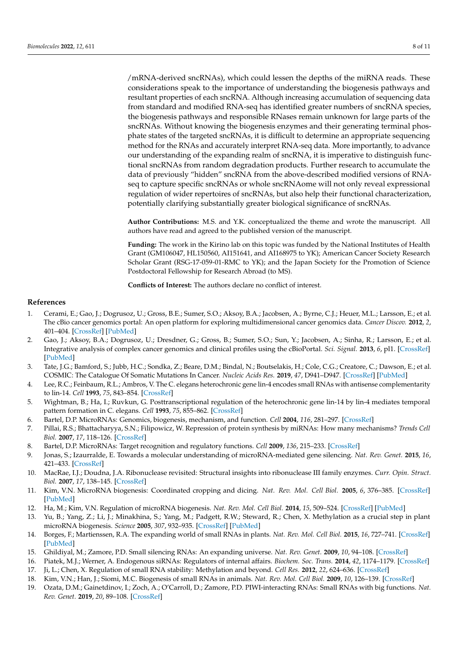/mRNA-derived sncRNAs), which could lessen the depths of the miRNA reads. These considerations speak to the importance of understanding the biogenesis pathways and resultant properties of each sncRNA. Although increasing accumulation of sequencing data from standard and modified RNA-seq has identified greater numbers of sncRNA species, the biogenesis pathways and responsible RNases remain unknown for large parts of the sncRNAs. Without knowing the biogenesis enzymes and their generating terminal phosphate states of the targeted sncRNAs, it is difficult to determine an appropriate sequencing method for the RNAs and accurately interpret RNA-seq data. More importantly, to advance our understanding of the expanding realm of sncRNA, it is imperative to distinguish functional sncRNAs from random degradation products. Further research to accumulate the data of previously "hidden" sncRNA from the above-described modified versions of RNAseq to capture specific sncRNAs or whole sncRNAome will not only reveal expressional regulation of wider repertoires of sncRNAs, but also help their functional characterization, potentially clarifying substantially greater biological significance of sncRNAs.

**Author Contributions:** M.S. and Y.K. conceptualized the theme and wrote the manuscript. All authors have read and agreed to the published version of the manuscript.

**Funding:** The work in the Kirino lab on this topic was funded by the National Institutes of Health Grant (GM106047, HL150560, AI151641, and AI168975 to YK); American Cancer Society Research Scholar Grant (RSG-17-059-01-RMC to YK); and the Japan Society for the Promotion of Science Postdoctoral Fellowship for Research Abroad (to MS).

**Conflicts of Interest:** The authors declare no conflict of interest.

## **References**

- <span id="page-8-0"></span>1. Cerami, E.; Gao, J.; Dogrusoz, U.; Gross, B.E.; Sumer, S.O.; Aksoy, B.A.; Jacobsen, A.; Byrne, C.J.; Heuer, M.L.; Larsson, E.; et al. The cBio cancer genomics portal: An open platform for exploring multidimensional cancer genomics data. *Cancer Discov.* **2012**, *2*, 401–404. [\[CrossRef\]](http://doi.org/10.1158/2159-8290.CD-12-0095) [\[PubMed\]](http://www.ncbi.nlm.nih.gov/pubmed/22588877)
- <span id="page-8-1"></span>2. Gao, J.; Aksoy, B.A.; Dogrusoz, U.; Dresdner, G.; Gross, B.; Sumer, S.O.; Sun, Y.; Jacobsen, A.; Sinha, R.; Larsson, E.; et al. Integrative analysis of complex cancer genomics and clinical profiles using the cBioPortal. *Sci. Signal.* **2013**, *6*, pl1. [\[CrossRef\]](http://doi.org/10.1126/scisignal.2004088) [\[PubMed\]](http://www.ncbi.nlm.nih.gov/pubmed/23550210)
- <span id="page-8-2"></span>3. Tate, J.G.; Bamford, S.; Jubb, H.C.; Sondka, Z.; Beare, D.M.; Bindal, N.; Boutselakis, H.; Cole, C.G.; Creatore, C.; Dawson, E.; et al. COSMIC: The Catalogue Of Somatic Mutations In Cancer. *Nucleic Acids Res.* **2019**, *47*, D941–D947. [\[CrossRef\]](http://doi.org/10.1093/nar/gky1015) [\[PubMed\]](http://www.ncbi.nlm.nih.gov/pubmed/30371878)
- <span id="page-8-3"></span>4. Lee, R.C.; Feinbaum, R.L.; Ambros, V. The C. elegans heterochronic gene lin-4 encodes small RNAs with antisense complementarity to lin-14. *Cell* **1993**, *75*, 843–854. [\[CrossRef\]](http://doi.org/10.1016/0092-8674(93)90529-Y)
- <span id="page-8-4"></span>5. Wightman, B.; Ha, I.; Ruvkun, G. Posttranscriptional regulation of the heterochronic gene lin-14 by lin-4 mediates temporal pattern formation in C. elegans. *Cell* **1993**, *75*, 855–862. [\[CrossRef\]](http://doi.org/10.1016/0092-8674(93)90530-4)
- <span id="page-8-5"></span>6. Bartel, D.P. MicroRNAs: Genomics, biogenesis, mechanism, and function. *Cell* **2004**, *116*, 281–297. [\[CrossRef\]](http://doi.org/10.1016/S0092-8674(04)00045-5)
- <span id="page-8-6"></span>7. Pillai, R.S.; Bhattacharyya, S.N.; Filipowicz, W. Repression of protein synthesis by miRNAs: How many mechanisms? *Trends Cell Biol.* **2007**, *17*, 118–126. [\[CrossRef\]](http://doi.org/10.1016/j.tcb.2006.12.007)
- <span id="page-8-7"></span>8. Bartel, D.P. MicroRNAs: Target recognition and regulatory functions. *Cell* **2009**, *136*, 215–233. [\[CrossRef\]](http://doi.org/10.1016/j.cell.2009.01.002)
- <span id="page-8-8"></span>9. Jonas, S.; Izaurralde, E. Towards a molecular understanding of microRNA-mediated gene silencing. *Nat. Rev. Genet.* **2015**, *16*, 421–433. [\[CrossRef\]](http://doi.org/10.1038/nrg3965)
- <span id="page-8-9"></span>10. MacRae, I.J.; Doudna, J.A. Ribonuclease revisited: Structural insights into ribonuclease III family enzymes. *Curr. Opin. Struct. Biol.* **2007**, *17*, 138–145. [\[CrossRef\]](http://doi.org/10.1016/j.sbi.2006.12.002)
- 11. Kim, V.N. MicroRNA biogenesis: Coordinated cropping and dicing. *Nat. Rev. Mol. Cell Biol.* **2005**, *6*, 376–385. [\[CrossRef\]](http://doi.org/10.1038/nrm1644) [\[PubMed\]](http://www.ncbi.nlm.nih.gov/pubmed/15852042)
- <span id="page-8-10"></span>12. Ha, M.; Kim, V.N. Regulation of microRNA biogenesis. *Nat. Rev. Mol. Cell Biol.* **2014**, *15*, 509–524. [\[CrossRef\]](http://doi.org/10.1038/nrm3838) [\[PubMed\]](http://www.ncbi.nlm.nih.gov/pubmed/25027649)
- <span id="page-8-11"></span>13. Yu, B.; Yang, Z.; Li, J.; Minakhina, S.; Yang, M.; Padgett, R.W.; Steward, R.; Chen, X. Methylation as a crucial step in plant microRNA biogenesis. *Science* **2005**, *307*, 932–935. [\[CrossRef\]](http://doi.org/10.1126/science.1107130) [\[PubMed\]](http://www.ncbi.nlm.nih.gov/pubmed/15705854)
- <span id="page-8-12"></span>14. Borges, F.; Martienssen, R.A. The expanding world of small RNAs in plants. *Nat. Rev. Mol. Cell Biol.* **2015**, *16*, 727–741. [\[CrossRef\]](http://doi.org/10.1038/nrm4085) [\[PubMed\]](http://www.ncbi.nlm.nih.gov/pubmed/26530390)
- <span id="page-8-13"></span>15. Ghildiyal, M.; Zamore, P.D. Small silencing RNAs: An expanding universe. *Nat. Rev. Genet.* **2009**, *10*, 94–108. [\[CrossRef\]](http://doi.org/10.1038/nrg2504)
- <span id="page-8-14"></span>16. Piatek, M.J.; Werner, A. Endogenous siRNAs: Regulators of internal affairs. *Biochem. Soc. Trans.* **2014**, *42*, 1174–1179. [\[CrossRef\]](http://doi.org/10.1042/BST20140068) 17. Ji, L.; Chen, X. Regulation of small RNA stability: Methylation and beyond. *Cell Res.* **2012**, *22*, 624–636. [\[CrossRef\]](http://doi.org/10.1038/cr.2012.36)
- <span id="page-8-15"></span>18. Kim, V.N.; Han, J.; Siomi, M.C. Biogenesis of small RNAs in animals. *Nat. Rev. Mol. Cell Biol.* **2009**, *10*, 126–139. [\[CrossRef\]](http://doi.org/10.1038/nrm2632)
- <span id="page-8-16"></span>19. Ozata, D.M.; Gainetdinov, I.; Zoch, A.; O'Carroll, D.; Zamore, P.D. PIWI-interacting RNAs: Small RNAs with big functions. *Nat. Rev. Genet.* **2019**, *20*, 89–108. [\[CrossRef\]](http://doi.org/10.1038/s41576-018-0073-3)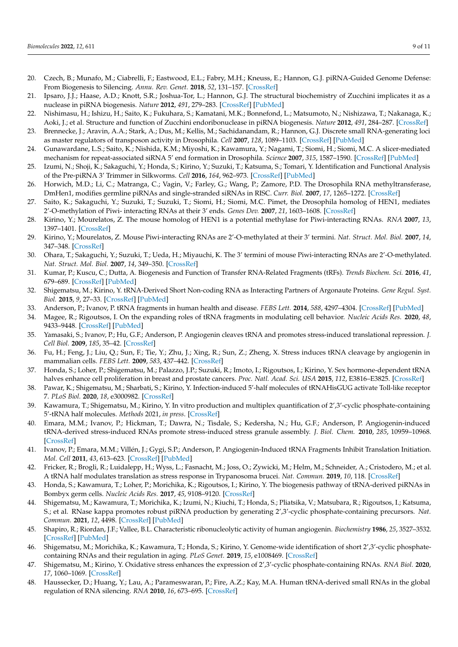- <span id="page-9-0"></span>20. Czech, B.; Munafo, M.; Ciabrelli, F.; Eastwood, E.L.; Fabry, M.H.; Kneuss, E.; Hannon, G.J. piRNA-Guided Genome Defense: From Biogenesis to Silencing. *Annu. Rev. Genet.* **2018**, *52*, 131–157. [\[CrossRef\]](http://doi.org/10.1146/annurev-genet-120417-031441)
- <span id="page-9-1"></span>21. Ipsaro, J.J.; Haase, A.D.; Knott, S.R.; Joshua-Tor, L.; Hannon, G.J. The structural biochemistry of Zucchini implicates it as a nuclease in piRNA biogenesis. *Nature* **2012**, *491*, 279–283. [\[CrossRef\]](http://doi.org/10.1038/nature11502) [\[PubMed\]](http://www.ncbi.nlm.nih.gov/pubmed/23064227)
- <span id="page-9-2"></span>22. Nishimasu, H.; Ishizu, H.; Saito, K.; Fukuhara, S.; Kamatani, M.K.; Bonnefond, L.; Matsumoto, N.; Nishizawa, T.; Nakanaga, K.; Aoki, J.; et al. Structure and function of Zucchini endoribonuclease in piRNA biogenesis. *Nature* **2012**, *491*, 284–287. [\[CrossRef\]](http://doi.org/10.1038/nature11509)
- <span id="page-9-3"></span>23. Brennecke, J.; Aravin, A.A.; Stark, A.; Dus, M.; Kellis, M.; Sachidanandam, R.; Hannon, G.J. Discrete small RNA-generating loci as master regulators of transposon activity in Drosophila. *Cell* **2007**, *128*, 1089–1103. [\[CrossRef\]](http://doi.org/10.1016/j.cell.2007.01.043) [\[PubMed\]](http://www.ncbi.nlm.nih.gov/pubmed/17346786)
- <span id="page-9-4"></span>24. Gunawardane, L.S.; Saito, K.; Nishida, K.M.; Miyoshi, K.; Kawamura, Y.; Nagami, T.; Siomi, H.; Siomi, M.C. A slicer-mediated mechanism for repeat-associated siRNA 5' end formation in Drosophila. *Science* **2007**, *315*, 1587–1590. [\[CrossRef\]](http://doi.org/10.1126/science.1140494) [\[PubMed\]](http://www.ncbi.nlm.nih.gov/pubmed/17322028)
- <span id="page-9-5"></span>25. Izumi, N.; Shoji, K.; Sakaguchi, Y.; Honda, S.; Kirino, Y.; Suzuki, T.; Katsuma, S.; Tomari, Y. Identification and Functional Analysis of the Pre-piRNA 3' Trimmer in Silkworms. *Cell* **2016**, *164*, 962–973. [\[CrossRef\]](http://doi.org/10.1016/j.cell.2016.01.008) [\[PubMed\]](http://www.ncbi.nlm.nih.gov/pubmed/26919431)
- <span id="page-9-6"></span>26. Horwich, M.D.; Li, C.; Matranga, C.; Vagin, V.; Farley, G.; Wang, P.; Zamore, P.D. The Drosophila RNA methyltransferase, DmHen1, modifies germline piRNAs and single-stranded siRNAs in RISC. *Curr. Biol.* **2007**, *17*, 1265–1272. [\[CrossRef\]](http://doi.org/10.1016/j.cub.2007.06.030)
- 27. Saito, K.; Sakaguchi, Y.; Suzuki, T.; Suzuki, T.; Siomi, H.; Siomi, M.C. Pimet, the Drosophila homolog of HEN1, mediates 2'-O-methylation of Piwi- interacting RNAs at their 3' ends. *Genes Dev.* **2007**, *21*, 1603–1608. [\[CrossRef\]](http://doi.org/10.1101/gad.1563607)
- <span id="page-9-7"></span>28. Kirino, Y.; Mourelatos, Z. The mouse homolog of HEN1 is a potential methylase for Piwi-interacting RNAs. *RNA* **2007**, *13*, 1397–1401. [\[CrossRef\]](http://doi.org/10.1261/rna.659307)
- <span id="page-9-8"></span>29. Kirino, Y.; Mourelatos, Z. Mouse Piwi-interacting RNAs are 2'-O-methylated at their 3' termini. *Nat. Struct. Mol. Biol.* **2007**, *14*, 347–348. [\[CrossRef\]](http://doi.org/10.1038/nsmb1218)
- <span id="page-9-9"></span>30. Ohara, T.; Sakaguchi, Y.; Suzuki, T.; Ueda, H.; Miyauchi, K. The 3' termini of mouse Piwi-interacting RNAs are 2'-O-methylated. *Nat. Struct. Mol. Biol.* **2007**, *14*, 349–350. [\[CrossRef\]](http://doi.org/10.1038/nsmb1220)
- <span id="page-9-10"></span>31. Kumar, P.; Kuscu, C.; Dutta, A. Biogenesis and Function of Transfer RNA-Related Fragments (tRFs). *Trends Biochem. Sci.* **2016**, *41*, 679–689. [\[CrossRef\]](http://doi.org/10.1016/j.tibs.2016.05.004) [\[PubMed\]](http://www.ncbi.nlm.nih.gov/pubmed/27263052)
- <span id="page-9-25"></span>32. Shigematsu, M.; Kirino, Y. tRNA-Derived Short Non-coding RNA as Interacting Partners of Argonaute Proteins. *Gene Regul. Syst. Biol.* **2015**, *9*, 27–33. [\[CrossRef\]](http://doi.org/10.4137/GRSB.S29411) [\[PubMed\]](http://www.ncbi.nlm.nih.gov/pubmed/26401098)
- <span id="page-9-26"></span>33. Anderson, P.; Ivanov, P. tRNA fragments in human health and disease. *FEBS Lett.* **2014**, *588*, 4297–4304. [\[CrossRef\]](http://doi.org/10.1016/j.febslet.2014.09.001) [\[PubMed\]](http://www.ncbi.nlm.nih.gov/pubmed/25220675)
- <span id="page-9-11"></span>34. Magee, R.; Rigoutsos, I. On the expanding roles of tRNA fragments in modulating cell behavior. *Nucleic Acids Res.* **2020**, *48*, 9433–9448. [\[CrossRef\]](http://doi.org/10.1093/nar/gkaa657) [\[PubMed\]](http://www.ncbi.nlm.nih.gov/pubmed/32890397)
- <span id="page-9-12"></span>35. Yamasaki, S.; Ivanov, P.; Hu, G.F.; Anderson, P. Angiogenin cleaves tRNA and promotes stress-induced translational repression. *J. Cell Biol.* **2009**, *185*, 35–42. [\[CrossRef\]](http://doi.org/10.1083/jcb.200811106)
- <span id="page-9-13"></span>36. Fu, H.; Feng, J.; Liu, Q.; Sun, F.; Tie, Y.; Zhu, J.; Xing, R.; Sun, Z.; Zheng, X. Stress induces tRNA cleavage by angiogenin in mammalian cells. *FEBS Lett.* **2009**, *583*, 437–442. [\[CrossRef\]](http://doi.org/10.1016/j.febslet.2008.12.043)
- <span id="page-9-14"></span>37. Honda, S.; Loher, P.; Shigematsu, M.; Palazzo, J.P.; Suzuki, R.; Imoto, I.; Rigoutsos, I.; Kirino, Y. Sex hormone-dependent tRNA halves enhance cell proliferation in breast and prostate cancers. *Proc. Natl. Acad. Sci. USA* **2015**, *112*, E3816–E3825. [\[CrossRef\]](http://doi.org/10.1073/pnas.1510077112)
- <span id="page-9-15"></span>38. Pawar, K.; Shigematsu, M.; Sharbati, S.; Kirino, Y. Infection-induced 5'-half molecules of tRNAHisGUG activate Toll-like receptor 7. *PLoS Biol.* **2020**, *18*, e3000982. [\[CrossRef\]](http://doi.org/10.1371/journal.pbio.3000982)
- <span id="page-9-16"></span>39. Kawamura, T.; Shigematsu, M.; Kirino, Y. In vitro production and multiplex quantification of 2',3'-cyclic phosphate-containing 5'-tRNA half molecules. *Methods* 2021, *in press*. [\[CrossRef\]](http://doi.org/10.1016/j.ymeth.2021.04.024)
- <span id="page-9-17"></span>40. Emara, M.M.; Ivanov, P.; Hickman, T.; Dawra, N.; Tisdale, S.; Kedersha, N.; Hu, G.F.; Anderson, P. Angiogenin-induced tRNA-derived stress-induced RNAs promote stress-induced stress granule assembly. *J. Biol. Chem.* **2010**, *285*, 10959–10968. [\[CrossRef\]](http://doi.org/10.1074/jbc.M109.077560)
- 41. Ivanov, P.; Emara, M.M.; Villén, J.; Gygi, S.P.; Anderson, P. Angiogenin-Induced tRNA Fragments Inhibit Translation Initiation. *Mol. Cell* **2011**, *43*, 613–623. [\[CrossRef\]](http://doi.org/10.1016/j.molcel.2011.06.022) [\[PubMed\]](http://www.ncbi.nlm.nih.gov/pubmed/21855800)
- <span id="page-9-18"></span>42. Fricker, R.; Brogli, R.; Luidalepp, H.; Wyss, L.; Fasnacht, M.; Joss, O.; Zywicki, M.; Helm, M.; Schneider, A.; Cristodero, M.; et al. A tRNA half modulates translation as stress response in Trypanosoma brucei. *Nat. Commun.* **2019**, *10*, 118. [\[CrossRef\]](http://doi.org/10.1038/s41467-018-07949-6)
- <span id="page-9-19"></span>43. Honda, S.; Kawamura, T.; Loher, P.; Morichika, K.; Rigoutsos, I.; Kirino, Y. The biogenesis pathway of tRNA-derived piRNAs in Bombyx germ cells. *Nucleic Acids Res.* **2017**, *45*, 9108–9120. [\[CrossRef\]](http://doi.org/10.1093/nar/gkx537)
- <span id="page-9-20"></span>44. Shigematsu, M.; Kawamura, T.; Morichika, K.; Izumi, N.; Kiuchi, T.; Honda, S.; Pliatsika, V.; Matsubara, R.; Rigoutsos, I.; Katsuma, S.; et al. RNase kappa promotes robust piRNA production by generating 2',3'-cyclic phosphate-containing precursors. *Nat. Commun.* **2021**, *12*, 4498. [\[CrossRef\]](http://doi.org/10.1038/s41467-021-24681-w) [\[PubMed\]](http://www.ncbi.nlm.nih.gov/pubmed/34301931)
- <span id="page-9-21"></span>45. Shapiro, R.; Riordan, J.F.; Vallee, B.L. Characteristic ribonucleolytic activity of human angiogenin. *Biochemistry* **1986**, *25*, 3527–3532. [\[CrossRef\]](http://doi.org/10.1021/bi00360a008) [\[PubMed\]](http://www.ncbi.nlm.nih.gov/pubmed/2424496)
- <span id="page-9-22"></span>46. Shigematsu, M.; Morichika, K.; Kawamura, T.; Honda, S.; Kirino, Y. Genome-wide identification of short 2',3'-cyclic phosphatecontaining RNAs and their regulation in aging. *PLoS Genet.* **2019**, *15*, e1008469. [\[CrossRef\]](http://doi.org/10.1371/journal.pgen.1008469)
- <span id="page-9-23"></span>47. Shigematsu, M.; Kirino, Y. Oxidative stress enhances the expression of 2',3'-cyclic phosphate-containing RNAs. *RNA Biol.* **2020**, *17*, 1060–1069. [\[CrossRef\]](http://doi.org/10.1080/15476286.2020.1766861)
- <span id="page-9-24"></span>48. Haussecker, D.; Huang, Y.; Lau, A.; Parameswaran, P.; Fire, A.Z.; Kay, M.A. Human tRNA-derived small RNAs in the global regulation of RNA silencing. *RNA* **2010**, *16*, 673–695. [\[CrossRef\]](http://doi.org/10.1261/rna.2000810)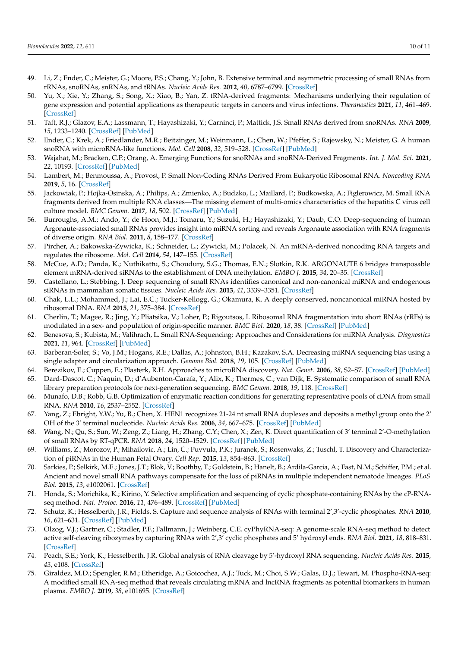- <span id="page-10-0"></span>49. Li, Z.; Ender, C.; Meister, G.; Moore, P.S.; Chang, Y.; John, B. Extensive terminal and asymmetric processing of small RNAs from rRNAs, snoRNAs, snRNAs, and tRNAs. *Nucleic Acids Res.* **2012**, *40*, 6787–6799. [\[CrossRef\]](http://doi.org/10.1093/nar/gks307)
- <span id="page-10-1"></span>50. Yu, X.; Xie, Y.; Zhang, S.; Song, X.; Xiao, B.; Yan, Z. tRNA-derived fragments: Mechanisms underlying their regulation of gene expression and potential applications as therapeutic targets in cancers and virus infections. *Theranostics* **2021**, *11*, 461–469. [\[CrossRef\]](http://doi.org/10.7150/thno.51963)
- <span id="page-10-2"></span>51. Taft, R.J.; Glazov, E.A.; Lassmann, T.; Hayashizaki, Y.; Carninci, P.; Mattick, J.S. Small RNAs derived from snoRNAs. *RNA* **2009**, *15*, 1233–1240. [\[CrossRef\]](http://doi.org/10.1261/rna.1528909) [\[PubMed\]](http://www.ncbi.nlm.nih.gov/pubmed/19474147)
- 52. Ender, C.; Krek, A.; Friedlander, M.R.; Beitzinger, M.; Weinmann, L.; Chen, W.; Pfeffer, S.; Rajewsky, N.; Meister, G. A human snoRNA with microRNA-like functions. *Mol. Cell* **2008**, *32*, 519–528. [\[CrossRef\]](http://doi.org/10.1016/j.molcel.2008.10.017) [\[PubMed\]](http://www.ncbi.nlm.nih.gov/pubmed/19026782)
- <span id="page-10-3"></span>53. Wajahat, M.; Bracken, C.P.; Orang, A. Emerging Functions for snoRNAs and snoRNA-Derived Fragments. *Int. J. Mol. Sci.* **2021**, *22*, 10193. [\[CrossRef\]](http://doi.org/10.3390/ijms221910193) [\[PubMed\]](http://www.ncbi.nlm.nih.gov/pubmed/34638533)
- <span id="page-10-4"></span>54. Lambert, M.; Benmoussa, A.; Provost, P. Small Non-Coding RNAs Derived From Eukaryotic Ribosomal RNA. *Noncoding RNA* **2019**, *5*, 16. [\[CrossRef\]](http://doi.org/10.3390/ncrna5010016)
- 55. Jackowiak, P.; Hojka-Osinska, A.; Philips, A.; Zmienko, A.; Budzko, L.; Maillard, P.; Budkowska, A.; Figlerowicz, M. Small RNA fragments derived from multiple RNA classes—The missing element of multi-omics characteristics of the hepatitis C virus cell culture model. *BMC Genom.* **2017**, *18*, 502. [\[CrossRef\]](http://doi.org/10.1186/s12864-017-3891-3) [\[PubMed\]](http://www.ncbi.nlm.nih.gov/pubmed/28666407)
- 56. Burroughs, A.M.; Ando, Y.; de Hoon, M.J.; Tomaru, Y.; Suzuki, H.; Hayashizaki, Y.; Daub, C.O. Deep-sequencing of human Argonaute-associated small RNAs provides insight into miRNA sorting and reveals Argonaute association with RNA fragments of diverse origin. *RNA Biol.* **2011**, *8*, 158–177. [\[CrossRef\]](http://doi.org/10.4161/rna.8.1.14300)
- 57. Pircher, A.; Bakowska-Zywicka, K.; Schneider, L.; Zywicki, M.; Polacek, N. An mRNA-derived noncoding RNA targets and regulates the ribosome. *Mol. Cell* **2014**, *54*, 147–155. [\[CrossRef\]](http://doi.org/10.1016/j.molcel.2014.02.024)
- <span id="page-10-5"></span>58. McCue, A.D.; Panda, K.; Nuthikattu, S.; Choudury, S.G.; Thomas, E.N.; Slotkin, R.K. ARGONAUTE 6 bridges transposable element mRNA-derived siRNAs to the establishment of DNA methylation. *EMBO J.* **2015**, *34*, 20–35. [\[CrossRef\]](http://doi.org/10.15252/embj.201489499)
- 59. Castellano, L.; Stebbing, J. Deep sequencing of small RNAs identifies canonical and non-canonical miRNA and endogenous siRNAs in mammalian somatic tissues. *Nucleic Acids Res.* **2013**, *41*, 3339–3351. [\[CrossRef\]](http://doi.org/10.1093/nar/gks1474)
- <span id="page-10-6"></span>60. Chak, L.L.; Mohammed, J.; Lai, E.C.; Tucker-Kellogg, G.; Okamura, K. A deeply conserved, noncanonical miRNA hosted by ribosomal DNA. *RNA* **2015**, *21*, 375–384. [\[CrossRef\]](http://doi.org/10.1261/rna.049098.114)
- <span id="page-10-7"></span>61. Cherlin, T.; Magee, R.; Jing, Y.; Pliatsika, V.; Loher, P.; Rigoutsos, I. Ribosomal RNA fragmentation into short RNAs (rRFs) is modulated in a sex- and population of origin-specific manner. *BMC Biol.* **2020**, *18*, 38. [\[CrossRef\]](http://doi.org/10.1186/s12915-020-0763-0) [\[PubMed\]](http://www.ncbi.nlm.nih.gov/pubmed/32279660)
- <span id="page-10-8"></span>62. Benesova, S.; Kubista, M.; Valihrach, L. Small RNA-Sequencing: Approaches and Considerations for miRNA Analysis. *Diagnostics* **2021**, *11*, 964. [\[CrossRef\]](http://doi.org/10.3390/diagnostics11060964) [\[PubMed\]](http://www.ncbi.nlm.nih.gov/pubmed/34071824)
- <span id="page-10-9"></span>63. Barberan-Soler, S.; Vo, J.M.; Hogans, R.E.; Dallas, A.; Johnston, B.H.; Kazakov, S.A. Decreasing miRNA sequencing bias using a single adapter and circularization approach. *Genome Biol.* **2018**, *19*, 105. [\[CrossRef\]](http://doi.org/10.1186/s13059-018-1488-z) [\[PubMed\]](http://www.ncbi.nlm.nih.gov/pubmed/30173660)
- <span id="page-10-10"></span>64. Berezikov, E.; Cuppen, E.; Plasterk, R.H. Approaches to microRNA discovery. *Nat. Genet.* **2006**, *38*, S2–S7. [\[CrossRef\]](http://doi.org/10.1038/ng1794) [\[PubMed\]](http://www.ncbi.nlm.nih.gov/pubmed/16736019)
- <span id="page-10-11"></span>65. Dard-Dascot, C.; Naquin, D.; d'Aubenton-Carafa, Y.; Alix, K.; Thermes, C.; van Dijk, E. Systematic comparison of small RNA library preparation protocols for next-generation sequencing. *BMC Genom.* **2018**, *19*, 118. [\[CrossRef\]](http://doi.org/10.1186/s12864-018-4491-6)
- 66. Munafo, D.B.; Robb, G.B. Optimization of enzymatic reaction conditions for generating representative pools of cDNA from small RNA. *RNA* **2010**, *16*, 2537–2552. [\[CrossRef\]](http://doi.org/10.1261/rna.2242610)
- 67. Yang, Z.; Ebright, Y.W.; Yu, B.; Chen, X. HEN1 recognizes 21-24 nt small RNA duplexes and deposits a methyl group onto the 2' OH of the 3' terminal nucleotide. *Nucleic Acids Res.* **2006**, *34*, 667–675. [\[CrossRef\]](http://doi.org/10.1093/nar/gkj474) [\[PubMed\]](http://www.ncbi.nlm.nih.gov/pubmed/16449203)
- <span id="page-10-12"></span>68. Wang, N.; Qu, S.; Sun, W.; Zeng, Z.; Liang, H.; Zhang, C.Y.; Chen, X.; Zen, K. Direct quantification of 3' terminal 2'-O-methylation of small RNAs by RT-qPCR. *RNA* **2018**, *24*, 1520–1529. [\[CrossRef\]](http://doi.org/10.1261/rna.065144.117) [\[PubMed\]](http://www.ncbi.nlm.nih.gov/pubmed/30076204)
- <span id="page-10-13"></span>69. Williams, Z.; Morozov, P.; Mihailovic, A.; Lin, C.; Puvvula, P.K.; Juranek, S.; Rosenwaks, Z.; Tuschl, T. Discovery and Characterization of piRNAs in the Human Fetal Ovary. *Cell Rep.* **2015**, *13*, 854–863. [\[CrossRef\]](http://doi.org/10.1016/j.celrep.2015.09.030)
- <span id="page-10-14"></span>70. Sarkies, P.; Selkirk, M.E.; Jones, J.T.; Blok, V.; Boothby, T.; Goldstein, B.; Hanelt, B.; Ardila-Garcia, A.; Fast, N.M.; Schiffer, P.M.; et al. Ancient and novel small RNA pathways compensate for the loss of piRNAs in multiple independent nematode lineages. *PLoS Biol.* **2015**, *13*, e1002061. [\[CrossRef\]](http://doi.org/10.1371/journal.pbio.1002061)
- <span id="page-10-15"></span>71. Honda, S.; Morichika, K.; Kirino, Y. Selective amplification and sequencing of cyclic phosphate-containing RNAs by the cP-RNAseq method. *Nat. Protoc.* **2016**, *11*, 476–489. [\[CrossRef\]](http://doi.org/10.1038/nprot.2016.025) [\[PubMed\]](http://www.ncbi.nlm.nih.gov/pubmed/26866791)
- <span id="page-10-16"></span>72. Schutz, K.; Hesselberth, J.R.; Fields, S. Capture and sequence analysis of RNAs with terminal 2',3'-cyclic phosphates. *RNA* **2010**, *16*, 621–631. [\[CrossRef\]](http://doi.org/10.1261/rna.1934910) [\[PubMed\]](http://www.ncbi.nlm.nih.gov/pubmed/20075163)
- <span id="page-10-17"></span>73. Olzog, V.J.; Gartner, C.; Stadler, P.F.; Fallmann, J.; Weinberg, C.E. cyPhyRNA-seq: A genome-scale RNA-seq method to detect active self-cleaving ribozymes by capturing RNAs with 2',3' cyclic phosphates and 5' hydroxyl ends. *RNA Biol.* **2021**, *18*, 818–831. [\[CrossRef\]](http://doi.org/10.1080/15476286.2021.1999105)
- <span id="page-10-18"></span>74. Peach, S.E.; York, K.; Hesselberth, J.R. Global analysis of RNA cleavage by 5'-hydroxyl RNA sequencing. *Nucleic Acids Res.* **2015**, *43*, e108. [\[CrossRef\]](http://doi.org/10.1093/nar/gkv536)
- <span id="page-10-19"></span>75. Giraldez, M.D.; Spengler, R.M.; Etheridge, A.; Goicochea, A.J.; Tuck, M.; Choi, S.W.; Galas, D.J.; Tewari, M. Phospho-RNA-seq: A modified small RNA-seq method that reveals circulating mRNA and lncRNA fragments as potential biomarkers in human plasma. *EMBO J.* **2019**, *38*, e101695. [\[CrossRef\]](http://doi.org/10.15252/embj.2019101695)